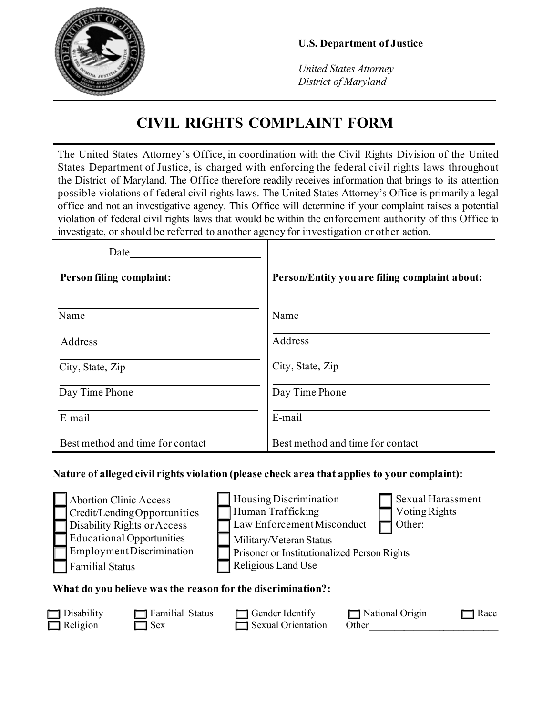

*United States Attorney District of Maryland*

# **CIVIL RIGHTS COMPLAINT FORM**

The United States Attorney's Office, in coordination with the Civil Rights Division of the United States Department of Justice, is charged with enforcing the federal civil rights laws throughout the District of Maryland. The Office therefore readily receives information that brings to its attention possible violations of federal civil rights laws. The United States Attorney's Office is primarily a legal office and not an investigative agency. This Office will determine if your complaint raises a potential violation of federal civil rights laws that would be within the enforcement authority of this Office to investigate, or should be referred to another agency for investigation or other action.

| Date                             |                                               |
|----------------------------------|-----------------------------------------------|
| <b>Person filing complaint:</b>  | Person/Entity you are filing complaint about: |
| Name                             | Name                                          |
| Address                          | Address                                       |
| City, State, Zip                 | City, State, Zip                              |
| Day Time Phone                   | Day Time Phone                                |
| E-mail                           | E-mail                                        |
| Best method and time for contact | Best method and time for contact              |

#### **Nature of alleged civil rights violation (please check area that applies to your complaint):**

| <b>Abortion Clinic Access</b>                               |  | <b>Housing Discrimination</b>               |  | Sexual Harassment |  |  |
|-------------------------------------------------------------|--|---------------------------------------------|--|-------------------|--|--|
| Credit/LendingOpportunities                                 |  | Human Trafficking                           |  | Voting Rights     |  |  |
| Disability Rights or Access                                 |  | Law Enforcement Misconduct                  |  | Other:            |  |  |
| <b>Educational Opportunities</b>                            |  | Military/Veteran Status                     |  |                   |  |  |
| Employment Discrimination                                   |  | Prisoner or Institutionalized Person Rights |  |                   |  |  |
| <b>Familial Status</b>                                      |  | Religious Land Use                          |  |                   |  |  |
| What de van helieve was the neason for the discuirculation? |  |                                             |  |                   |  |  |

#### **What do you believe was the reason for the discrimination?:**

| $\Box$ Disability | Familial Status | $\Box$ Gender Identify    | $\Box$ National Origin | Race |
|-------------------|-----------------|---------------------------|------------------------|------|
| $\Box$ Religion   | $\Box$ Sex      | $\Box$ Sexual Orientation | Other                  |      |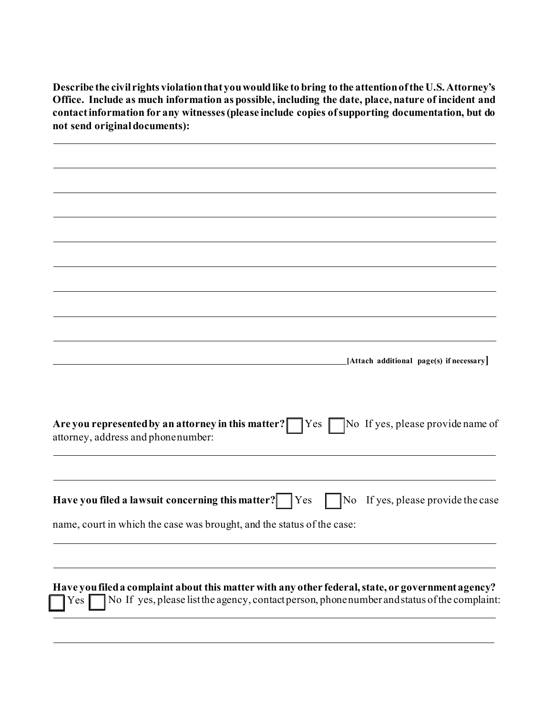**Describe the civil rights violationthat youwouldlike to bring to the attention ofthe U.S. Attorney's Office. Include as much information as possible, including the date, place, nature of incident and contactinformation for any witnesses(please include copies ofsupporting documentation, but do not send originaldocuments):**

| [Attach additional page(s) if necessary]                                                                                                                                                                 |
|----------------------------------------------------------------------------------------------------------------------------------------------------------------------------------------------------------|
|                                                                                                                                                                                                          |
| No If yes, please provide name of<br>Are you represented by an attorney in this matter?<br> Yes <br>attorney, address and phonenumber:                                                                   |
| Have you filed a lawsuit concerning this matter?<br>If yes, please provide the case<br>  Yes<br>No                                                                                                       |
| name, court in which the case was brought, and the status of the case:                                                                                                                                   |
|                                                                                                                                                                                                          |
| Have you filed a complaint about this matter with any other federal, state, or government agency?<br>No If yes, please list the agency, contact person, phone number and status of the complaint:<br>Yes |